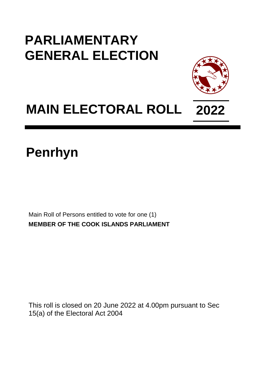## **PARLIAMENTARY GENERAL ELECTION**



## **MAIN ELECTORAL ROLL 2022**

## **Penrhyn**

Main Roll of Persons entitled to vote for one (1) **MEMBER OF THE COOK ISLANDS PARLIAMENT**

This roll is closed on 20 June 2022 at 4.00pm pursuant to Sec 15(a) of the Electoral Act 2004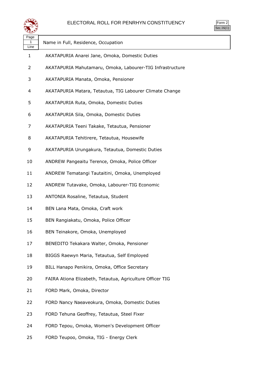

Form 2 Sec.16(1)

| Page<br>1<br>Line | Name in Full, Residence, Occupation                       |
|-------------------|-----------------------------------------------------------|
| 1                 | AKATAPURIA Anarei Jane, Omoka, Domestic Duties            |
| 2                 | AKATAPURIA Mahutamaru, Omoka, Labourer-TIG Infrastructure |
| 3                 | AKATAPURIA Manata, Omoka, Pensioner                       |
| 4                 | AKATAPURIA Matara, Tetautua, TIG Labourer Climate Change  |
| 5                 | AKATAPURIA Ruta, Omoka, Domestic Duties                   |
| 6                 | AKATAPURIA Sila, Omoka, Domestic Duties                   |
| 7                 | AKATAPURIA Teeni Takake, Tetautua, Pensioner              |
| 8                 | AKATAPURIA Tehitirere, Tetautua, Housewife                |
| 9                 | AKATAPURIA Urungakura, Tetautua, Domestic Duties          |
| 10                | ANDREW Pangeaitu Terence, Omoka, Police Officer           |
| 11                | ANDREW Tematangi Tautaitini, Omoka, Unemployed            |
| 12                | ANDREW Tutavake, Omoka, Labourer-TIG Economic             |
| 13                | ANTONIA Rosaline, Tetautua, Student                       |
| 14                | BEN Lana Mata, Omoka, Craft work                          |
| 15                | BEN Rangiakatu, Omoka, Police Officer                     |
| 16                | BEN Teinakore, Omoka, Unemployed                          |
| 17                | BENEDITO Tekakara Walter, Omoka, Pensioner                |
| 18                | BIGGS Raewyn Maria, Tetautua, Self Employed               |
| 19                | BILL Hanapo Penikira, Omoka, Office Secretary             |
| 20                | FAIRA Ationa Elizabeth, Tetautua, Agriculture Officer TIG |
| 21                | FORD Mark, Omoka, Director                                |
| 22                | FORD Nancy Naeaveokura, Omoka, Domestic Duties            |
| 23                | FORD Tehuna Geoffrey, Tetautua, Steel Fixer               |
| 24                | FORD Tepou, Omoka, Women's Development Officer            |

FORD Teupoo, Omoka, TIG - Energy Clerk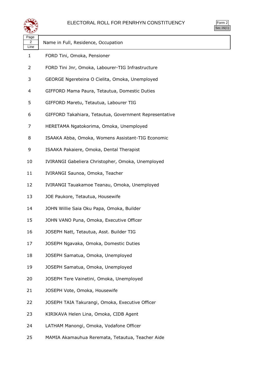

Form 2 Sec.16(1)

| Page<br>2<br>Line | Name in Full, Residence, Occupation                    |
|-------------------|--------------------------------------------------------|
| 1                 | FORD Tini, Omoka, Pensioner                            |
| 2                 | FORD Tini Jnr, Omoka, Labourer-TIG Infrastructure      |
| 3                 | GEORGE Ngereteina O Cielita, Omoka, Unemployed         |
| 4                 | GIFFORD Mama Paura, Tetautua, Domestic Duties          |
| 5                 | GIFFORD Maretu, Tetautua, Labourer TIG                 |
| 6                 | GIFFORD Takahiara, Tetautua, Government Representative |
| 7                 | HERETAMA Ngatokorima, Omoka, Unemployed                |
| 8                 | ISAAKA Abba, Omoka, Womens Assistant-TIG Economic      |
| 9                 | ISAAKA Pakaiere, Omoka, Dental Therapist               |
| 10                | IVIRANGI Gabeliera Christopher, Omoka, Unemployed      |
| 11                | IVIRANGI Saunoa, Omoka, Teacher                        |
| 12                | IVIRANGI Tauakamoe Teanau, Omoka, Unemployed           |
| 13                | JOE Paukore, Tetautua, Housewife                       |
| 14                | JOHN Willie Saia Oku Papa, Omoka, Builder              |
| 15                | JOHN VANO Puna, Omoka, Executive Officer               |
| 16                | JOSEPH Natt, Tetautua, Asst. Builder TIG               |
| 17                | JOSEPH Ngavaka, Omoka, Domestic Duties                 |
| 18                | JOSEPH Samatua, Omoka, Unemployed                      |
| 19                | JOSEPH Samatua, Omoka, Unemployed                      |
| 20                | JOSEPH Tere Vainetini, Omoka, Unemployed               |
| 21                | JOSEPH Vote, Omoka, Housewife                          |
| 22                | JOSEPH TAIA Takurangi, Omoka, Executive Officer        |
| 23                | KIRIKAVA Helen Lina, Omoka, CIDB Agent                 |
| 24                | LATHAM Manongi, Omoka, Vodafone Officer                |
|                   |                                                        |

MAMIA Akamauhua Reremata, Tetautua, Teacher Aide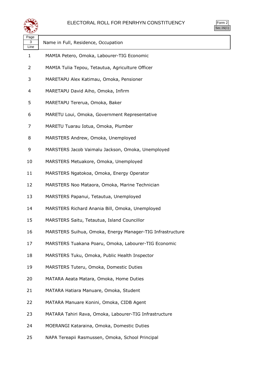

|  | n.<br>rr<br>٠ |  |
|--|---------------|--|
|  |               |  |

| Page<br>3<br>Line | Name in Full, Residence, Occupation                       |
|-------------------|-----------------------------------------------------------|
| $\mathbf{1}$      | MAMIA Petero, Omoka, Labourer-TIG Economic                |
| 2                 | MAMIA Tulia Tepou, Tetautua, Agriculture Officer          |
| 3                 | MARETAPU Alex Katimau, Omoka, Pensioner                   |
| 4                 | MARETAPU David Aiho, Omoka, Infirm                        |
| 5                 | MARETAPU Tererua, Omoka, Baker                            |
| 6                 | MARETU Loui, Omoka, Government Representative             |
| 7                 | MARETU Tuarau Iotua, Omoka, Plumber                       |
| 8                 | MARSTERS Andrew, Omoka, Unemployed                        |
| 9                 | MARSTERS Jacob Vaimalu Jackson, Omoka, Unemployed         |
| 10                | MARSTERS Metuakore, Omoka, Unemployed                     |
| 11                | MARSTERS Ngatokoa, Omoka, Energy Operator                 |
| 12                | MARSTERS Noo Mataora, Omoka, Marine Technician            |
| 13                | MARSTERS Papanui, Tetautua, Unemployed                    |
| 14                | MARSTERS Richard Anania Bill, Omoka, Unemployed           |
| 15                | MARSTERS Saitu, Tetautua, Island Councillor               |
| 16                | MARSTERS Suihua, Omoka, Energy Manager-TIG Infrastructure |
| 17                | MARSTERS Tuakana Poaru, Omoka, Labourer-TIG Economic      |
| 18                | MARSTERS Tuku, Omoka, Public Health Inspector             |
| 19                | MARSTERS Tuteru, Omoka, Domestic Duties                   |
| 20                | MATARA Aeata Matara, Omoka, Home Duties                   |
| 21                | MATARA Hatiara Manuare, Omoka, Student                    |
| 22                | MATARA Manuare Konini, Omoka, CIDB Agent                  |
| 23                | MATARA Tahiri Rava, Omoka, Labourer-TIG Infrastructure    |
| 24                | MOERANGI Kataraina, Omoka, Domestic Duties                |

NAPA Tereapii Rasmussen, Omoka, School Principal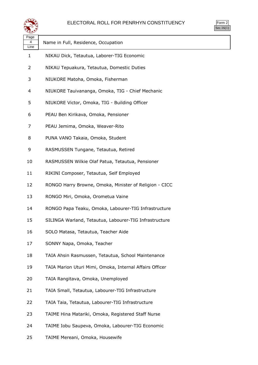

| ≍±≠∠              |                                                         |
|-------------------|---------------------------------------------------------|
| Page<br>4<br>Line | Name in Full, Residence, Occupation                     |
| 1                 | NIKAU Dick, Tetautua, Laborer-TIG Economic              |
| 2                 | NIKAU Tepuakura, Tetautua, Domestic Duties              |
| 3                 | NIUKORE Matoha, Omoka, Fisherman                        |
| 4                 | NIUKORE Tauivananga, Omoka, TIG - Chief Mechanic        |
| 5                 | NIUKORE Victor, Omoka, TIG - Building Officer           |
| 6                 | PEAU Ben Kirikava, Omoka, Pensioner                     |
| 7                 | PEAU Jemima, Omoka, Weaver-Rito                         |
| 8                 | PUNA VANO Takaia, Omoka, Student                        |
| 9                 | RASMUSSEN Tungane, Tetautua, Retired                    |
| 10                | RASMUSSEN Wilkie Olaf Patua, Tetautua, Pensioner        |
| 11                | RIKINI Composer, Tetautua, Self Employed                |
| 12                | RONGO Harry Browne, Omoka, Minister of Religion - CICC  |
| 13                | RONGO Miri, Omoka, Orometua Vaine                       |
| 14                | RONGO Papa Teaku, Omoka, Labourer-TIG Infrastructure    |
| 15                | SILINGA Warland, Tetautua, Labourer-TIG Infrastructure  |
| 16                | SOLO Matasa, Tetautua, Teacher Aide                     |
| 17                | SONNY Napa, Omoka, Teacher                              |
| 18                | TAIA Ahsin Rasmussen, Tetautua, School Maintenance      |
| 19                | TAIA Marion Uturi Mimi, Omoka, Internal Affairs Officer |
| 20                | TAIA Rangitava, Omoka, Unemployed                       |
| 21                | TAIA Small, Tetautua, Labourer-TIG Infrastructure       |
| 22                | TAIA Taia, Tetautua, Labourer-TIG Infrastructure        |
| 23                | TAIME Hina Matariki, Omoka, Registered Staff Nurse      |
| 24                | TAIME Iobu Saupeva, Omoka, Labourer-TIG Economic        |

TAIME Mereani, Omoka, Housewife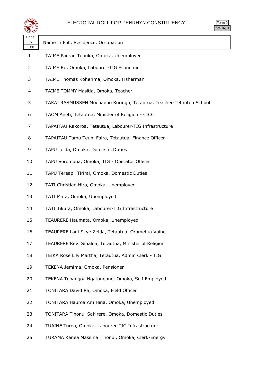

| orm<br>╯ |
|----------|
| ۰ ا      |

| ∼≃                |                                                                     |
|-------------------|---------------------------------------------------------------------|
| Page<br>5<br>Line | Name in Full, Residence, Occupation                                 |
| 1                 | TAIME Paerau Tepuka, Omoka, Unemployed                              |
| 2                 | TAIME Ru, Omoka, Labourer-TIG Economic                              |
| 3                 | TAIME Thomas Koherima, Omoka, Fisherman                             |
| 4                 | TAIME TOMMY Masitia, Omoka, Teacher                                 |
| 5                 | TAKAI RASMUSSEN Moehaono Koringo, Tetautua, Teacher-Tetautua School |
| 6                 | TAOM Aneti, Tetautua, Minister of Religion - CICC                   |
| 7                 | TAPAITAU Rakoroa, Tetautua, Labourer-TIG Infrastructure             |
| 8                 | TAPAITAU Tamu Teuhi Faira, Tetautua, Finance Officer                |
| 9                 | TAPU Leida, Omoka, Domestic Duties                                  |
| 10                | TAPU Soromona, Omoka, TIG - Operator Officer                        |
| 11                | TAPU Tereapii Tirirai, Omoka, Domestic Duties                       |
| 12                | TATI Christian Hiro, Omoka, Unemployed                              |
| 13                | TATI Mata, Omoka, Unemployed                                        |
| 14                | TATI Tikura, Omoka, Labourer-TIG Infrastructure                     |
| 15                | TEAURERE Haumata, Omoka, Unemployed                                 |
| 16                | TEAURERE Lagi Skye Zelda, Tetautua, Orometua Vaine                  |
| 17                | TEAURERE Rev. Sinaloa, Tetautua, Minister of Religion               |
| 18                | TEIKA Rose Lily Martha, Tetautua, Admin Clerk - TIG                 |
| 19                | TEKENA Jemima, Omoka, Pensioner                                     |
| 20                | TEKENA Tepangoa Ngatungane, Omoka, Self Employed                    |
| 21                | TONITARA David Ra, Omoka, Field Officer                             |
| 22                | TONITARA Hauroa Arii Hina, Omoka, Unemployed                        |
| 23                | TONITARA Tinonui Sakirere, Omoka, Domestic Duties                   |
| 24                | TUAINE Turoa, Omoka, Labourer-TIG Infrastructure                    |
| 25                | TURAMA Kanea Masilina Tinonui, Omoka, Clerk-Energy                  |